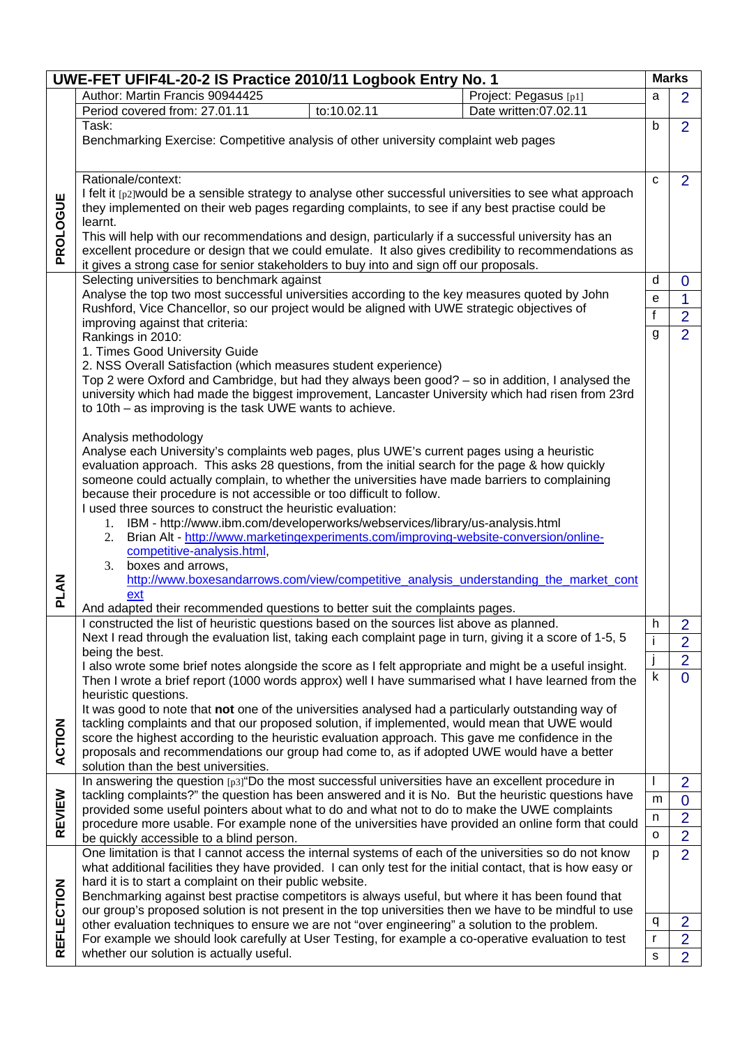|                                                                                                     | UWE-FET UFIF4L-20-2 IS Practice 2010/11 Logbook Entry No. 1                                                                                                                                                                                                                                                                     |              |                |  |
|-----------------------------------------------------------------------------------------------------|---------------------------------------------------------------------------------------------------------------------------------------------------------------------------------------------------------------------------------------------------------------------------------------------------------------------------------|--------------|----------------|--|
|                                                                                                     | Author: Martin Francis 90944425<br>Project: Pegasus [p1]                                                                                                                                                                                                                                                                        | a            | $\overline{2}$ |  |
|                                                                                                     | Period covered from: 27.01.11<br>to:10.02.11<br>Date written:07.02.11                                                                                                                                                                                                                                                           |              |                |  |
|                                                                                                     | Task:                                                                                                                                                                                                                                                                                                                           | b            | $\overline{2}$ |  |
|                                                                                                     | Benchmarking Exercise: Competitive analysis of other university complaint web pages                                                                                                                                                                                                                                             |              |                |  |
|                                                                                                     |                                                                                                                                                                                                                                                                                                                                 |              |                |  |
|                                                                                                     |                                                                                                                                                                                                                                                                                                                                 |              |                |  |
|                                                                                                     | Rationale/context:                                                                                                                                                                                                                                                                                                              | C            | $\overline{2}$ |  |
|                                                                                                     | I felt it [p2] would be a sensible strategy to analyse other successful universities to see what approach                                                                                                                                                                                                                       |              |                |  |
| PROLOGUE                                                                                            | they implemented on their web pages regarding complaints, to see if any best practise could be                                                                                                                                                                                                                                  |              |                |  |
|                                                                                                     | learnt.<br>This will help with our recommendations and design, particularly if a successful university has an<br>excellent procedure or design that we could emulate. It also gives credibility to recommendations as                                                                                                           |              |                |  |
|                                                                                                     |                                                                                                                                                                                                                                                                                                                                 |              |                |  |
|                                                                                                     |                                                                                                                                                                                                                                                                                                                                 |              |                |  |
|                                                                                                     | it gives a strong case for senior stakeholders to buy into and sign off our proposals.                                                                                                                                                                                                                                          |              |                |  |
|                                                                                                     | Selecting universities to benchmark against                                                                                                                                                                                                                                                                                     | d            | $\mathbf 0$    |  |
|                                                                                                     | Analyse the top two most successful universities according to the key measures quoted by John                                                                                                                                                                                                                                   | e            | $\mathbf{1}$   |  |
|                                                                                                     | Rushford, Vice Chancellor, so our project would be aligned with UWE strategic objectives of                                                                                                                                                                                                                                     | $\mathsf f$  | $\overline{2}$ |  |
|                                                                                                     | improving against that criteria:                                                                                                                                                                                                                                                                                                |              |                |  |
|                                                                                                     | Rankings in 2010:<br>1. Times Good University Guide<br>2. NSS Overall Satisfaction (which measures student experience)<br>Top 2 were Oxford and Cambridge, but had they always been good? - so in addition, I analysed the<br>university which had made the biggest improvement, Lancaster University which had risen from 23rd |              |                |  |
|                                                                                                     |                                                                                                                                                                                                                                                                                                                                 |              |                |  |
|                                                                                                     |                                                                                                                                                                                                                                                                                                                                 |              |                |  |
|                                                                                                     |                                                                                                                                                                                                                                                                                                                                 |              |                |  |
|                                                                                                     |                                                                                                                                                                                                                                                                                                                                 |              |                |  |
|                                                                                                     | to 10th – as improving is the task UWE wants to achieve.                                                                                                                                                                                                                                                                        |              |                |  |
|                                                                                                     |                                                                                                                                                                                                                                                                                                                                 |              |                |  |
|                                                                                                     | Analysis methodology                                                                                                                                                                                                                                                                                                            |              |                |  |
|                                                                                                     | Analyse each University's complaints web pages, plus UWE's current pages using a heuristic                                                                                                                                                                                                                                      |              |                |  |
|                                                                                                     | evaluation approach. This asks 28 questions, from the initial search for the page & how quickly                                                                                                                                                                                                                                 |              |                |  |
|                                                                                                     | someone could actually complain, to whether the universities have made barriers to complaining                                                                                                                                                                                                                                  |              |                |  |
|                                                                                                     | because their procedure is not accessible or too difficult to follow.                                                                                                                                                                                                                                                           |              |                |  |
|                                                                                                     | I used three sources to construct the heuristic evaluation:                                                                                                                                                                                                                                                                     |              |                |  |
|                                                                                                     | 1. IBM - http://www.ibm.com/developerworks/webservices/library/us-analysis.html                                                                                                                                                                                                                                                 |              |                |  |
|                                                                                                     | 2. Brian Alt - http://www.marketingexperiments.com/improving-website-conversion/online-                                                                                                                                                                                                                                         |              |                |  |
|                                                                                                     | competitive-analysis.html,                                                                                                                                                                                                                                                                                                      |              |                |  |
|                                                                                                     | 3. boxes and arrows,                                                                                                                                                                                                                                                                                                            |              |                |  |
|                                                                                                     | http://www.boxesandarrows.com/view/competitive_analysis_understanding_the_market_cont                                                                                                                                                                                                                                           |              |                |  |
| <b>PLAN</b>                                                                                         | ext                                                                                                                                                                                                                                                                                                                             |              |                |  |
|                                                                                                     | And adapted their recommended questions to better suit the complaints pages.                                                                                                                                                                                                                                                    |              |                |  |
|                                                                                                     | constructed the list of heuristic questions based on the sources list above as planned.                                                                                                                                                                                                                                         | h            | $\overline{2}$ |  |
|                                                                                                     | Next I read through the evaluation list, taking each complaint page in turn, giving it a score of 1-5, 5                                                                                                                                                                                                                        |              | $\overline{2}$ |  |
|                                                                                                     | being the best.                                                                                                                                                                                                                                                                                                                 |              |                |  |
|                                                                                                     | I also wrote some brief notes alongside the score as I felt appropriate and might be a useful insight.                                                                                                                                                                                                                          |              | $\overline{2}$ |  |
| Then I wrote a brief report (1000 words approx) well I have summarised what I have learned from the |                                                                                                                                                                                                                                                                                                                                 | $\sf k$      | $\overline{0}$ |  |
|                                                                                                     | heuristic questions.                                                                                                                                                                                                                                                                                                            |              |                |  |
|                                                                                                     | It was good to note that not one of the universities analysed had a particularly outstanding way of                                                                                                                                                                                                                             |              |                |  |
|                                                                                                     | tackling complaints and that our proposed solution, if implemented, would mean that UWE would                                                                                                                                                                                                                                   |              |                |  |
|                                                                                                     | score the highest according to the heuristic evaluation approach. This gave me confidence in the                                                                                                                                                                                                                                |              |                |  |
| ACTION                                                                                              | proposals and recommendations our group had come to, as if adopted UWE would have a better                                                                                                                                                                                                                                      |              |                |  |
|                                                                                                     | solution than the best universities.                                                                                                                                                                                                                                                                                            |              |                |  |
|                                                                                                     | In answering the question [p3] "Do the most successful universities have an excellent procedure in                                                                                                                                                                                                                              |              | $\overline{2}$ |  |
|                                                                                                     | tackling complaints?" the question has been answered and it is No. But the heuristic questions have                                                                                                                                                                                                                             | m            | $\mathbf 0$    |  |
| REVIEW                                                                                              | provided some useful pointers about what to do and what not to do to make the UWE complaints                                                                                                                                                                                                                                    |              |                |  |
|                                                                                                     | procedure more usable. For example none of the universities have provided an online form that could                                                                                                                                                                                                                             | n            | $\overline{2}$ |  |
|                                                                                                     | be quickly accessible to a blind person.                                                                                                                                                                                                                                                                                        | $\circ$      | $\overline{2}$ |  |
|                                                                                                     | One limitation is that I cannot access the internal systems of each of the universities so do not know                                                                                                                                                                                                                          | p            | $\overline{2}$ |  |
|                                                                                                     | what additional facilities they have provided. I can only test for the initial contact, that is how easy or                                                                                                                                                                                                                     |              |                |  |
|                                                                                                     | hard it is to start a complaint on their public website.                                                                                                                                                                                                                                                                        |              |                |  |
| REFLECTION                                                                                          | Benchmarking against best practise competitors is always useful, but where it has been found that                                                                                                                                                                                                                               |              |                |  |
|                                                                                                     | our group's proposed solution is not present in the top universities then we have to be mindful to use                                                                                                                                                                                                                          |              | $\overline{2}$ |  |
|                                                                                                     | other evaluation techniques to ensure we are not "over engineering" a solution to the problem.                                                                                                                                                                                                                                  |              |                |  |
|                                                                                                     | For example we should look carefully at User Testing, for example a co-operative evaluation to test                                                                                                                                                                                                                             | $\mathsf{r}$ | $\overline{2}$ |  |
|                                                                                                     | whether our solution is actually useful.                                                                                                                                                                                                                                                                                        | s            | $\overline{2}$ |  |
|                                                                                                     |                                                                                                                                                                                                                                                                                                                                 |              |                |  |